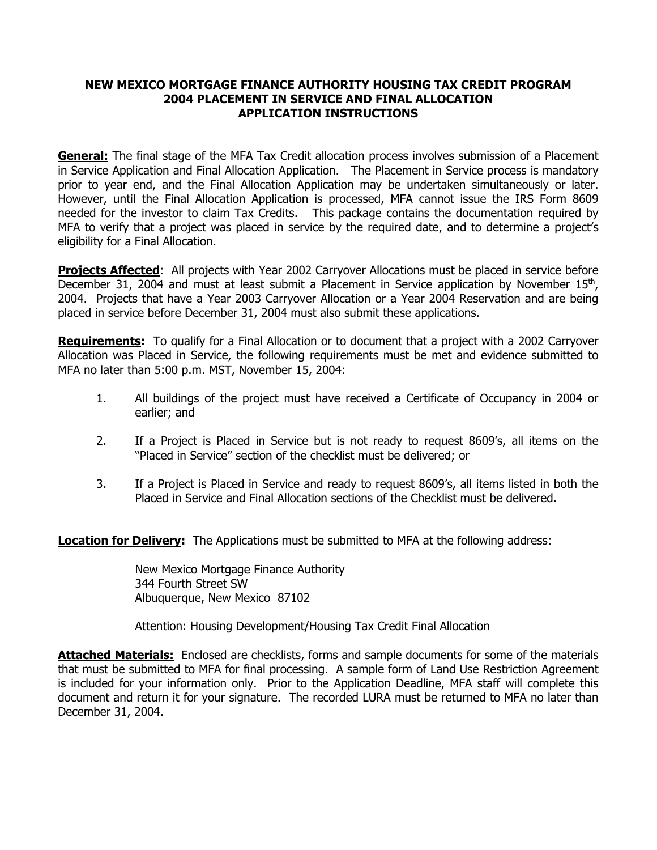#### **NEW MEXICO MORTGAGE FINANCE AUTHORITY HOUSING TAX CREDIT PROGRAM 2004 PLACEMENT IN SERVICE AND FINAL ALLOCATION APPLICATION INSTRUCTIONS**

**General:** The final stage of the MFA Tax Credit allocation process involves submission of a Placement in Service Application and Final Allocation Application. The Placement in Service process is mandatory prior to year end, and the Final Allocation Application may be undertaken simultaneously or later. However, until the Final Allocation Application is processed, MFA cannot issue the IRS Form 8609 needed for the investor to claim Tax Credits. This package contains the documentation required by MFA to verify that a project was placed in service by the required date, and to determine a project's eligibility for a Final Allocation.

**Projects Affected**: All projects with Year 2002 Carryover Allocations must be placed in service before December 31, 2004 and must at least submit a Placement in Service application by November  $15<sup>th</sup>$ , 2004. Projects that have a Year 2003 Carryover Allocation or a Year 2004 Reservation and are being placed in service before December 31, 2004 must also submit these applications.

**Requirements:** To qualify for a Final Allocation or to document that a project with a 2002 Carryover Allocation was Placed in Service, the following requirements must be met and evidence submitted to MFA no later than 5:00 p.m. MST, November 15, 2004:

- 1. All buildings of the project must have received a Certificate of Occupancy in 2004 or earlier; and
- 2. If a Project is Placed in Service but is not ready to request 8609's, all items on the "Placed in Service" section of the checklist must be delivered; or
- 3. If a Project is Placed in Service and ready to request 8609's, all items listed in both the Placed in Service and Final Allocation sections of the Checklist must be delivered.

**Location for Delivery:** The Applications must be submitted to MFA at the following address:

 New Mexico Mortgage Finance Authority 344 Fourth Street SW Albuquerque, New Mexico 87102

Attention: Housing Development/Housing Tax Credit Final Allocation

**Attached Materials:** Enclosed are checklists, forms and sample documents for some of the materials that must be submitted to MFA for final processing. A sample form of Land Use Restriction Agreement is included for your information only. Prior to the Application Deadline, MFA staff will complete this document and return it for your signature. The recorded LURA must be returned to MFA no later than December 31, 2004.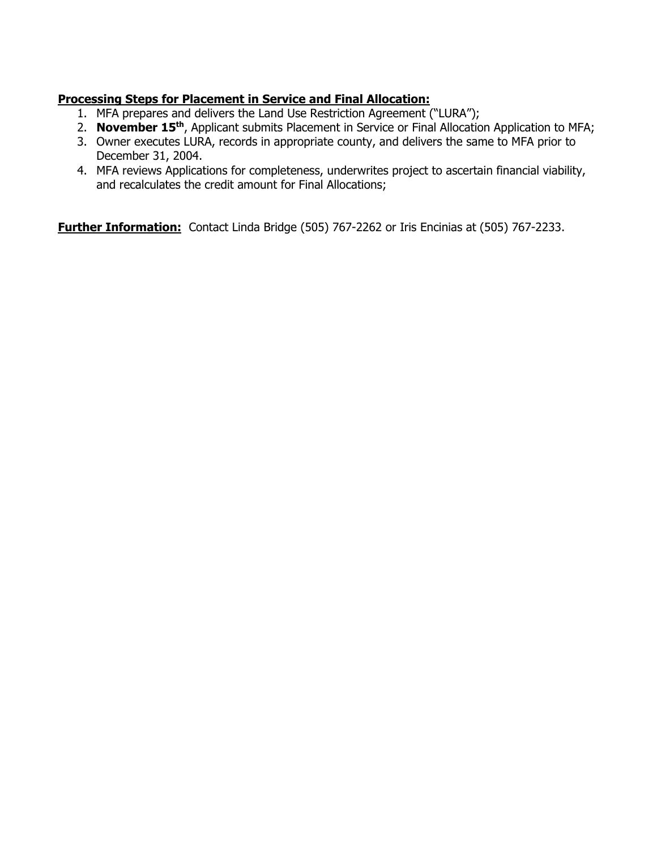# **Processing Steps for Placement in Service and Final Allocation:**

- 1. MFA prepares and delivers the Land Use Restriction Agreement ("LURA");
- 2. **November 15th**, Applicant submits Placement in Service or Final Allocation Application to MFA;
- 3. Owner executes LURA, records in appropriate county, and delivers the same to MFA prior to December 31, 2004.
- 4. MFA reviews Applications for completeness, underwrites project to ascertain financial viability, and recalculates the credit amount for Final Allocations;

**Further Information:** Contact Linda Bridge (505) 767-2262 or Iris Encinias at (505) 767-2233.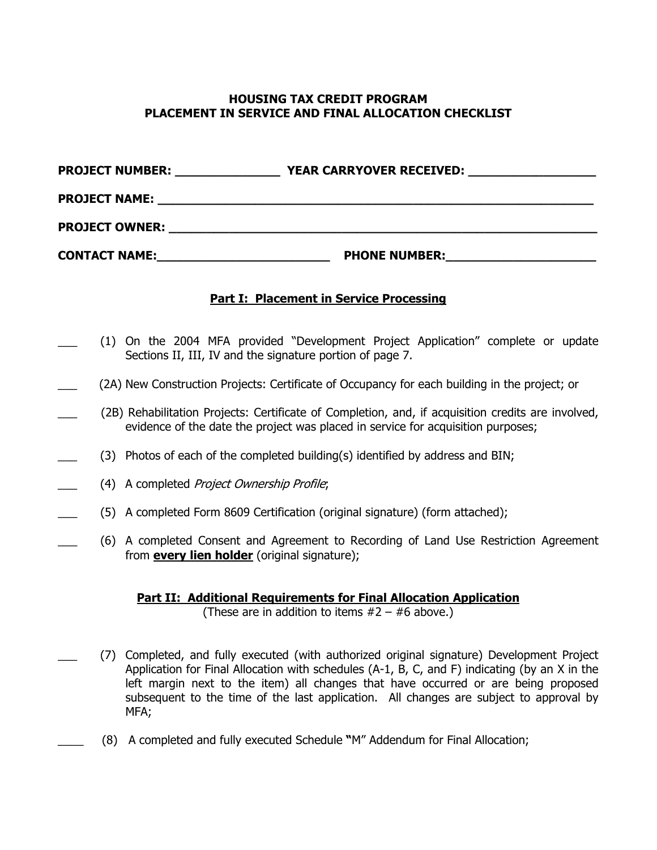### **HOUSING TAX CREDIT PROGRAM PLACEMENT IN SERVICE AND FINAL ALLOCATION CHECKLIST**

| <b>PROJECT NUMBER:</b> | <b>YEAR CARRYOVER RECEIVED:</b> |
|------------------------|---------------------------------|
| <b>PROJECT NAME:</b>   |                                 |
| <b>PROJECT OWNER:</b>  |                                 |
| <b>CONTACT NAME:</b>   | <b>PHONE NUMBER:</b>            |

#### **Part I: Placement in Service Processing**

- (1) On the 2004 MFA provided "Development Project Application" complete or update Sections II, III, IV and the signature portion of page 7.
- (2A) New Construction Projects: Certificate of Occupancy for each building in the project; or
	- \_\_\_ (2B) Rehabilitation Projects: Certificate of Completion, and, if acquisition credits are involved, evidence of the date the project was placed in service for acquisition purposes;
	- (3) Photos of each of the completed building(s) identified by address and BIN;
- (4) A completed Project Ownership Profile;
- \_\_\_ (5) A completed Form 8609 Certification (original signature) (form attached);
	- \_\_\_ (6) A completed Consent and Agreement to Recording of Land Use Restriction Agreement from **every lien holder** (original signature);

## **Part II: Additional Requirements for Final Allocation Application**

(These are in addition to items  $#2 - #6$  above.)

- \_\_\_ (7) Completed, and fully executed (with authorized original signature) Development Project Application for Final Allocation with schedules (A-1, B, C, and F) indicating (by an X in the left margin next to the item) all changes that have occurred or are being proposed subsequent to the time of the last application. All changes are subject to approval by MFA;
	- \_\_\_\_ (8) A completed and fully executed Schedule **"**M" Addendum for Final Allocation;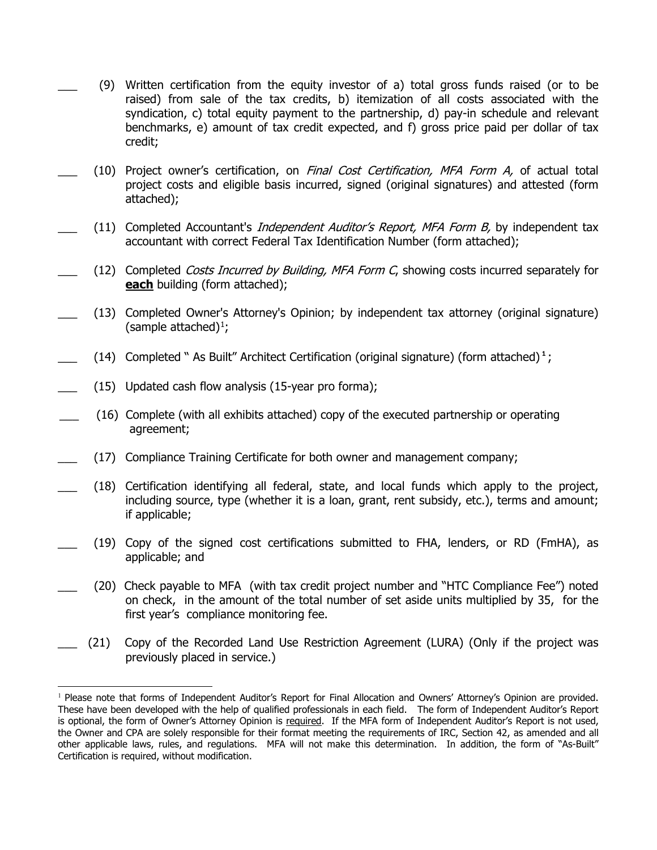- \_\_\_ (9) Written certification from the equity investor of a) total gross funds raised (or to be raised) from sale of the tax credits, b) itemization of all costs associated with the syndication, c) total equity payment to the partnership, d) pay-in schedule and relevant benchmarks, e) amount of tax credit expected, and f) gross price paid per dollar of tax credit;
- (10) Project owner's certification, on Final Cost Certification, MFA Form A, of actual total project costs and eligible basis incurred, signed (original signatures) and attested (form attached);
- (11) Completed Accountant's *Independent Auditor's Report, MFA Form B*, by independent tax accountant with correct Federal Tax Identification Number (form attached);
- (12) Completed Costs Incurred by Building, MFA Form C, showing costs incurred separately for **each** building (form attached);
- (13) Completed Owner's Attorney's Opinion; by independent tax attorney (original signature) (sample attached) $\frac{1}{l}$  $\frac{1}{l}$  $\frac{1}{l}$ ;
- $(14)$  Completed " As Built" Architect Certification (original signature) (form attached)<sup>1</sup>;
- $(15)$  Updated cash flow analysis (15-year pro forma);
	- \_\_\_ (16) Complete (with all exhibits attached) copy of the executed partnership or operating agreement;
- \_\_\_ (17) Compliance Training Certificate for both owner and management company;
- \_\_\_ (18) Certification identifying all federal, state, and local funds which apply to the project, including source, type (whether it is a loan, grant, rent subsidy, etc.), terms and amount; if applicable;
- (19) Copy of the signed cost certifications submitted to FHA, lenders, or RD (FmHA), as applicable; and
- (20) Check payable to MFA (with tax credit project number and "HTC Compliance Fee") noted on check, in the amount of the total number of set aside units multiplied by 35, for the first year's compliance monitoring fee.
- \_\_\_ (21) Copy of the Recorded Land Use Restriction Agreement (LURA) (Only if the project was previously placed in service.)

<span id="page-3-0"></span> $\overline{a}$ <sup>1</sup> Please note that forms of Independent Auditor's Report for Final Allocation and Owners' Attorney's Opinion are provided. These have been developed with the help of qualified professionals in each field. The form of Independent Auditor's Report is optional, the form of Owner's Attorney Opinion is required. If the MFA form of Independent Auditor's Report is not used, the Owner and CPA are solely responsible for their format meeting the requirements of IRC, Section 42, as amended and all other applicable laws, rules, and regulations. MFA will not make this determination. In addition, the form of "As-Built" Certification is required, without modification.